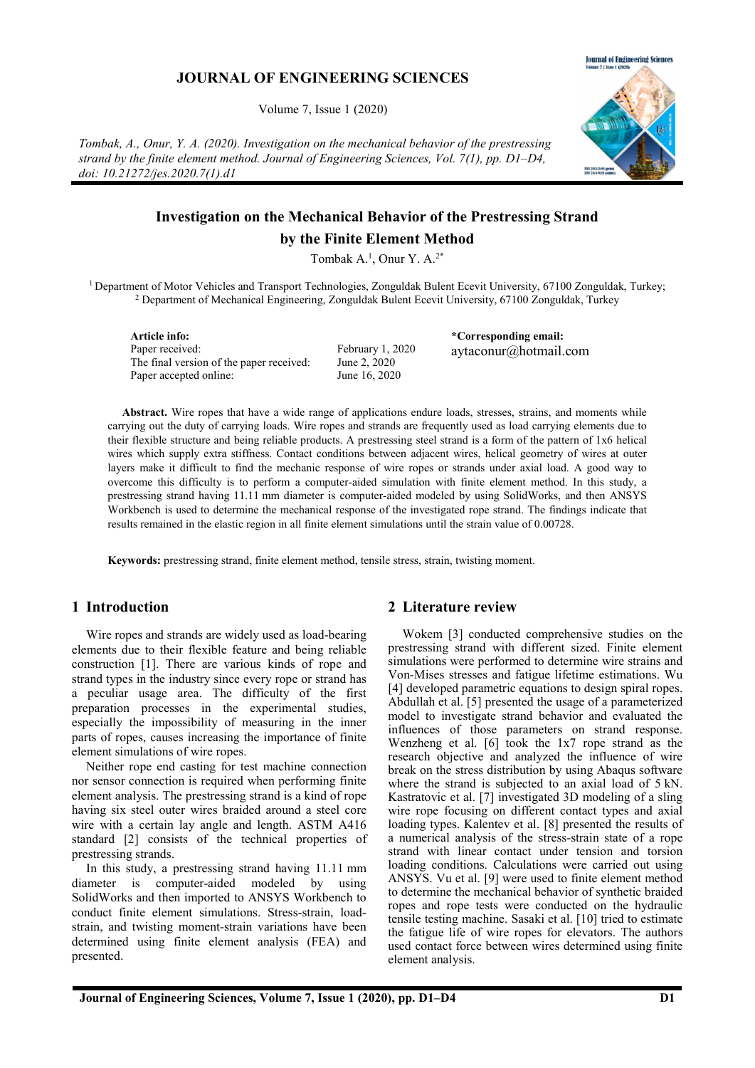## JOURNAL OF ENGINEERING SCIENCES

Volume 7, Issue 1 (2020)

Tombak, A., Onur, Y. A. (2020). Investigation on the mechanical behavior of the prestressing strand by the finite element method. Journal of Engineering Sciences, Vol. 7(1), pp. D1–D4, doi: 10.21272/jes.2020.7(1).d1



# Investigation on the Mechanical Behavior of the Prestressing Strand by the Finite Element Method

Tombak A.<sup>1</sup>, Onur Y. A.<sup>2\*</sup>

<sup>1</sup> Department of Motor Vehicles and Transport Technologies, Zonguldak Bulent Ecevit University, 67100 Zonguldak, Turkey; <sup>2</sup> Department of Mechanical Engineering, Zonguldak Bulent Ecevit University, 67100 Zonguldak, Turkey

Article info: Paper received: The final version of the paper received: Paper accepted online:

February 1, 2020 June 2, 2020 June 16, 2020

\*Corresponding email: aytaconur@hotmail.com

Abstract. Wire ropes that have a wide range of applications endure loads, stresses, strains, and moments while carrying out the duty of carrying loads. Wire ropes and strands are frequently used as load carrying elements due to their flexible structure and being reliable products. A prestressing steel strand is a form of the pattern of 1x6 helical wires which supply extra stiffness. Contact conditions between adjacent wires, helical geometry of wires at outer layers make it difficult to find the mechanic response of wire ropes or strands under axial load. A good way to overcome this difficulty is to perform a computer-aided simulation with finite element method. In this study, a prestressing strand having 11.11 mm diameter is computer-aided modeled by using SolidWorks, and then ANSYS Workbench is used to determine the mechanical response of the investigated rope strand. The findings indicate that results remained in the elastic region in all finite element simulations until the strain value of 0.00728.

Keywords: prestressing strand, finite element method, tensile stress, strain, twisting moment.

## 1 Introduction

Wire ropes and strands are widely used as load-bearing elements due to their flexible feature and being reliable construction [1]. There are various kinds of rope and strand types in the industry since every rope or strand has a peculiar usage area. The difficulty of the first preparation processes in the experimental studies, especially the impossibility of measuring in the inner parts of ropes, causes increasing the importance of finite element simulations of wire ropes.

Neither rope end casting for test machine connection nor sensor connection is required when performing finite element analysis. The prestressing strand is a kind of rope having six steel outer wires braided around a steel core wire with a certain lay angle and length. ASTM A416 standard [2] consists of the technical properties of prestressing strands.

In this study, a prestressing strand having 11.11 mm diameter is computer-aided modeled by using SolidWorks and then imported to ANSYS Workbench to conduct finite element simulations. Stress-strain, loadstrain, and twisting moment-strain variations have been determined using finite element analysis (FEA) and presented.

## 2 Literature review

Wokem [3] conducted comprehensive studies on the prestressing strand with different sized. Finite element simulations were performed to determine wire strains and Von-Mises stresses and fatigue lifetime estimations. Wu [4] developed parametric equations to design spiral ropes. Abdullah et al. [5] presented the usage of a parameterized model to investigate strand behavior and evaluated the influences of those parameters on strand response. Wenzheng et al. [6] took the 1x7 rope strand as the research objective and analyzed the influence of wire break on the stress distribution by using Abaqus software where the strand is subjected to an axial load of 5 kN. Kastratovic et al. [7] investigated 3D modeling of a sling wire rope focusing on different contact types and axial loading types. Kalentev et al. [8] presented the results of a numerical analysis of the stress-strain state of a rope strand with linear contact under tension and torsion loading conditions. Calculations were carried out using ANSYS. Vu et al. [9] were used to finite element method to determine the mechanical behavior of synthetic braided ropes and rope tests were conducted on the hydraulic tensile testing machine. Sasaki et al. [10] tried to estimate the fatigue life of wire ropes for elevators. The authors used contact force between wires determined using finite element analysis.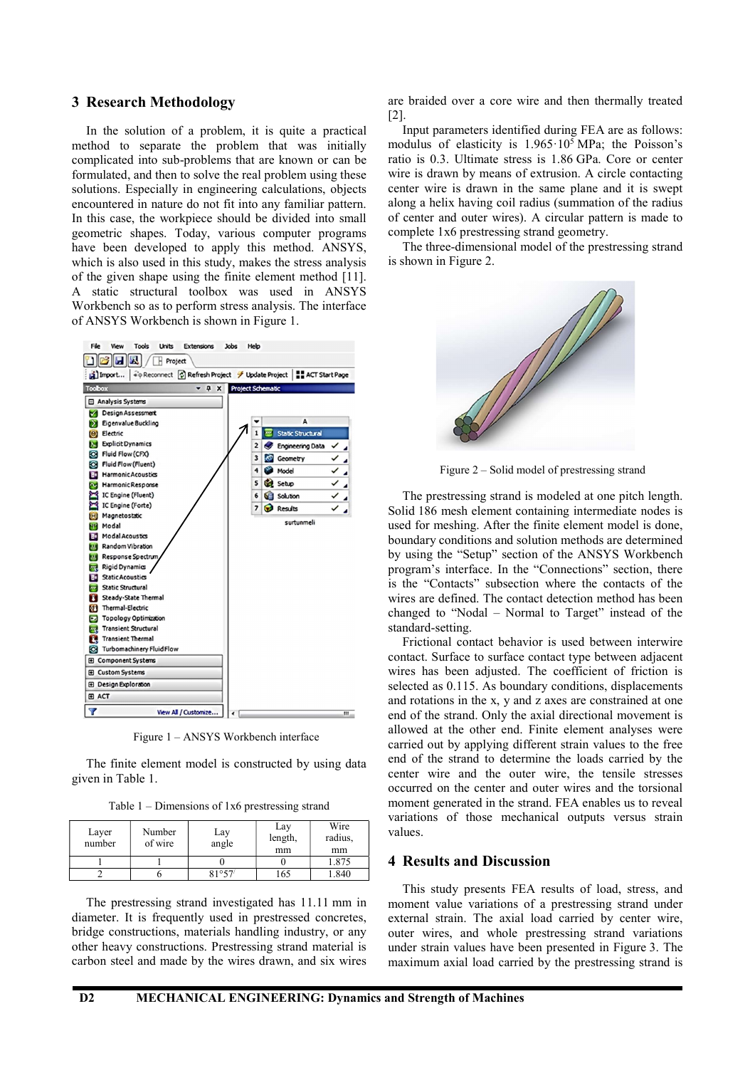#### 3 Research Methodology

In the solution of a problem, it is quite a practical method to separate the problem that was initially complicated into sub-problems that are known or can be formulated, and then to solve the real problem using these solutions. Especially in engineering calculations, objects encountered in nature do not fit into any familiar pattern. In this case, the workpiece should be divided into small geometric shapes. Today, various computer programs have been developed to apply this method. ANSYS, which is also used in this study, makes the stress analysis of the given shape using the finite element method [11]. A static structural toolbox was used in ANSYS Workbench so as to perform stress analysis. The interface of ANSYS Workbench is shown in Figure 1.



Figure 1 – ANSYS Workbench interface

The finite element model is constructed by using data given in Table 1.

|  |  |  | Table $1$ – Dimensions of 1x6 prestressing strand |  |
|--|--|--|---------------------------------------------------|--|
|  |  |  |                                                   |  |

| Layer<br>number | Number<br>of wire | Lay<br>angle | Lay<br>length,<br>mm | Wire<br>radius,<br>mm |
|-----------------|-------------------|--------------|----------------------|-----------------------|
|                 |                   |              |                      | 1.875                 |
|                 |                   | 81°57'       | 165                  | .340                  |

The prestressing strand investigated has 11.11 mm in diameter. It is frequently used in prestressed concretes, bridge constructions, materials handling industry, or any other heavy constructions. Prestressing strand material is carbon steel and made by the wires drawn, and six wires

are braided over a core wire and then thermally treated [2].

Input parameters identified during FEA are as follows: modulus of elasticity is  $1.965 \cdot 10^5$  MPa; the Poisson's ratio is 0.3. Ultimate stress is 1.86 GPa. Core or center wire is drawn by means of extrusion. A circle contacting center wire is drawn in the same plane and it is swept along a helix having coil radius (summation of the radius of center and outer wires). A circular pattern is made to complete 1x6 prestressing strand geometry.

The three-dimensional model of the prestressing strand is shown in Figure 2.



Figure 2 – Solid model of prestressing strand

The prestressing strand is modeled at one pitch length. Solid 186 mesh element containing intermediate nodes is used for meshing. After the finite element model is done, boundary conditions and solution methods are determined by using the "Setup" section of the ANSYS Workbench program's interface. In the "Connections" section, there is the "Contacts" subsection where the contacts of the wires are defined. The contact detection method has been changed to "Nodal – Normal to Target" instead of the standard-setting.

Frictional contact behavior is used between interwire contact. Surface to surface contact type between adjacent wires has been adjusted. The coefficient of friction is selected as 0.115. As boundary conditions, displacements and rotations in the x, y and z axes are constrained at one end of the strand. Only the axial directional movement is allowed at the other end. Finite element analyses were carried out by applying different strain values to the free end of the strand to determine the loads carried by the center wire and the outer wire, the tensile stresses occurred on the center and outer wires and the torsional moment generated in the strand. FEA enables us to reveal variations of those mechanical outputs versus strain values.

#### 4 Results and Discussion

This study presents FEA results of load, stress, and moment value variations of a prestressing strand under external strain. The axial load carried by center wire, outer wires, and whole prestressing strand variations under strain values have been presented in Figure 3. The maximum axial load carried by the prestressing strand is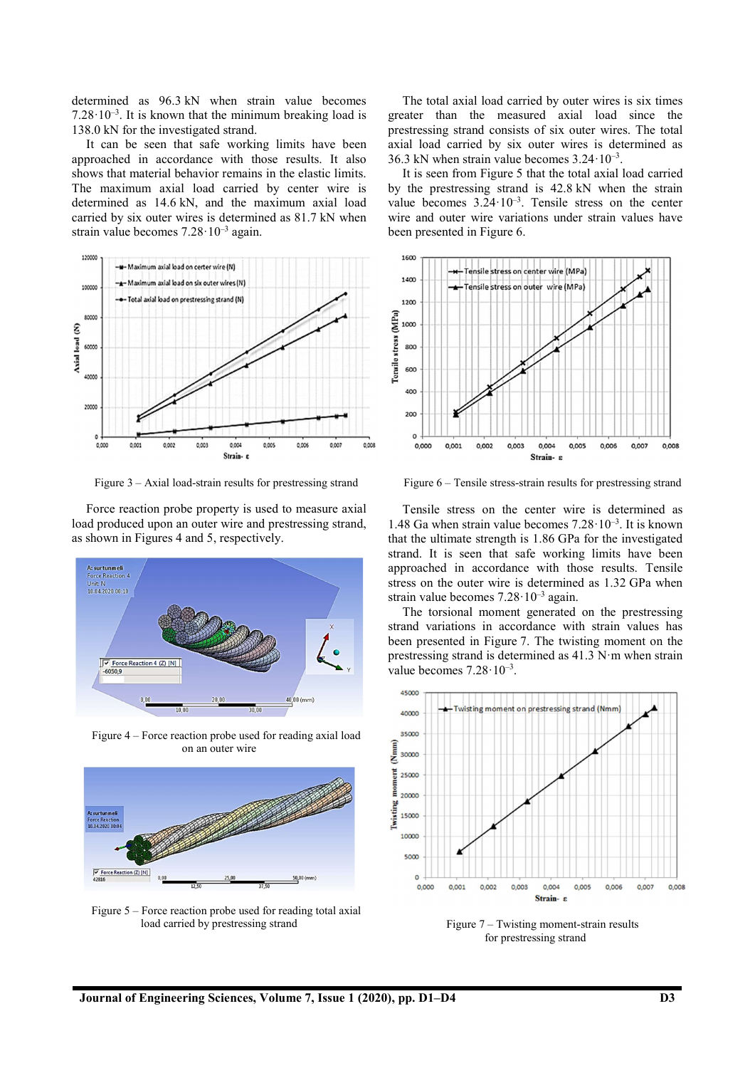determined as 96.3 kN when strain value becomes 7.28 $\cdot$ 10<sup>-3</sup>. It is known that the minimum breaking load is 138.0 kN for the investigated strand.

It can be seen that safe working limits have been approached in accordance with those results. It also shows that material behavior remains in the elastic limits. The maximum axial load carried by center wire is determined as 14.6 kN, and the maximum axial load carried by six outer wires is determined as 81.7 kN when strain value becomes 7.28·10–3 again.



Figure 3 – Axial load-strain results for prestressing strand

Force reaction probe property is used to measure axial load produced upon an outer wire and prestressing strand, as shown in Figures 4 and 5, respectively.



Figure 4 – Force reaction probe used for reading axial load on an outer wire



Figure 5 – Force reaction probe used for reading total axial load carried by prestressing strand

The total axial load carried by outer wires is six times greater than the measured axial load since the prestressing strand consists of six outer wires. The total axial load carried by six outer wires is determined as 36.3 kN when strain value becomes  $3.24 \cdot 10^{-3}$ .

It is seen from Figure 5 that the total axial load carried by the prestressing strand is 42.8 kN when the strain value becomes  $3.24 \cdot 10^{-3}$ . Tensile stress on the center wire and outer wire variations under strain values have been presented in Figure 6.



Figure 6 – Tensile stress-strain results for prestressing strand

Tensile stress on the center wire is determined as 1.48 Ga when strain value becomes  $7.28 \cdot 10^{-3}$ . It is known that the ultimate strength is 1.86 GPa for the investigated strand. It is seen that safe working limits have been approached in accordance with those results. Tensile stress on the outer wire is determined as 1.32 GPa when strain value becomes  $7.28 \cdot 10^{-3}$  again.

The torsional moment generated on the prestressing strand variations in accordance with strain values has been presented in Figure 7. The twisting moment on the prestressing strand is determined as 41.3 N·m when strain value becomes  $7.28 \cdot 10^{-3}$ .



Figure 7 – Twisting moment-strain results for prestressing strand